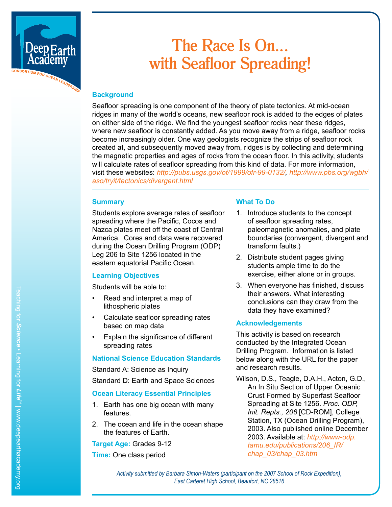

# **The Race Is On... with Seafloor Spreading!**

## **Background**

Seafloor spreading is one component of the theory of plate tectonics. At mid-ocean ridges in many of the world's oceans, new seafloor rock is added to the edges of plates on either side of the ridge. We find the youngest seafloor rocks near these ridges, where new seafloor is constantly added. As you move away from a ridge, seafloor rocks become increasingly older. One way geologists recognize the strips of seafloor rock created at, and subsequently moved away from, ridges is by collecting and determining the magnetic properties and ages of rocks from the ocean floor. In this activity, students will calculate rates of seafloor spreading from this kind of data. For more information, visit these websites: *http://pubs.usgs.gov/of/1999/ofr-99-0132/, [http://www.pbs.org/wgbh/](http://www.pbs.org/wgbh/aso/tryit/tectonics/divergent.html) [aso/tryit/tectonics/divergent.html](http://www.pbs.org/wgbh/aso/tryit/tectonics/divergent.html)*

#### **Summary**

Students explore average rates of seafloor spreading where the Pacific, Cocos and Nazca plates meet off the coast of Central America. Cores and data were recovered during the Ocean Drilling Program (ODP) Leg 206 to Site 1256 located in the eastern equatorial Pacific Ocean.

#### **Learning Objectives**

Students will be able to:

- Read and interpret a map of lithospheric plates
- Calculate seafloor spreading rates based on map data
- Explain the significance of different spreading rates

# **National Science Education Standards**

Standard A: Science as Inquiry

Standard D: Earth and Space Sciences

#### **Ocean Literacy Essential Principles**

- 1. Earth has one big ocean with many features.
- 2. The ocean and life in the ocean shape the features of Earth.

**Target Age:** Grades 9-12

**Time:** One class period

# **What To Do**

- 1. Introduce students to the concept of seafloor spreading rates, paleomagnetic anomalies, and plate boundaries (convergent, divergent and transform faults.)
- 2. Distribute student pages giving students ample time to do the exercise, either alone or in groups.
- 3. When everyone has finished, discuss their answers. What interesting conclusions can they draw from the data they have examined?

#### **Acknowledgements**

This activity is based on research conducted by the Integrated Ocean Drilling Program. Information is listed below along with the URL for the paper and research results.

Wilson, D.S., Teagle, D.A.H., Acton, G.D., An In Situ Section of Upper Oceanic Crust Formed by Superfast Seafloor Spreading at Site 1256. *Proc. ODP, Init. Repts., 206* [CD-ROM], College Station, TX (Ocean Drilling Program), 2003. Also published online December 2003. Available at: *[http://www-odp.](http://www-odp.tamu.edu/publications/206_IR/chap_03/chap_03.htm) [tamu.edu/publications/206\\_IR/](http://www-odp.tamu.edu/publications/206_IR/chap_03/chap_03.htm) [chap\\_03/chap\\_03.htm](http://www-odp.tamu.edu/publications/206_IR/chap_03/chap_03.htm)*

*Activity submitted by Barbara Simon-Waters (participant on the 2007 School of Rock Expedition), East Carteret High School, Beaufort, NC 28516*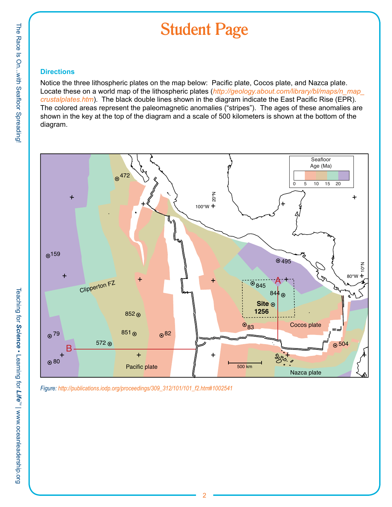# **Student Page**

## **Directions**

Notice the three lithospheric plates on the map below: Pacific plate, Cocos plate, and Nazca plate. Locate these on a world map of the lithospheric plates (*http://geology.about.com/library/bl/maps/n\_map\_ crustalplates.htm*). The black double lines shown in the diagram indicate the East Pacific Rise (EPR). The colored areas represent the paleomagnetic anomalies ("stripes"). The ages of these anomalies are shown in the key at the top of the diagram and a scale of 500 kilometers is shown at the bottom of the diagram.



*Figure: http://publications.iodp.org/proceedings/309\_312/101/101\_f2.htm#1002541*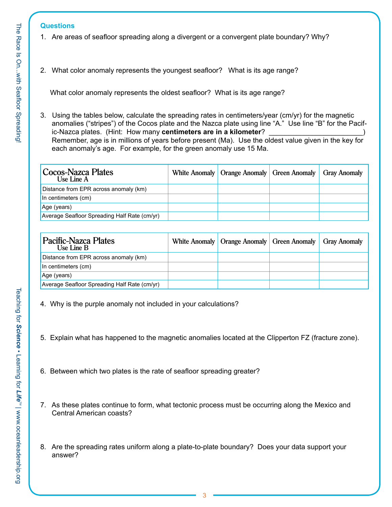#### **Questions**

- 1. Are areas of seafloor spreading along a divergent or a convergent plate boundary? Why?
- 2. What color anomaly represents the youngest seafloor? What is its age range?

What color anomaly represents the oldest seafloor? What is its age range?

3. Using the tables below, calculate the spreading rates in centimeters/year (cm/yr) for the magnetic anomalies ("stripes") of the Cocos plate and the Nazca plate using line "A." Use line "B" for the Pacific-Nazca plates. (Hint: How many centimeters are in a kilometer? Remember, age is in millions of years before present (Ma). Use the oldest value given in the key for each anomaly's age. For example, for the green anomaly use 15 Ma.

| Cocos-Nazca Plates<br>Use Line A             | White Anomaly   Orange Anomaly   Green Anomaly   Gray Anomaly |  |
|----------------------------------------------|---------------------------------------------------------------|--|
| Distance from EPR across anomaly (km)        |                                                               |  |
| In centimeters (cm)                          |                                                               |  |
| Age (years)                                  |                                                               |  |
| Average Seafloor Spreading Half Rate (cm/yr) |                                                               |  |

| <b>Pacific-Nazca Plates</b><br>Use Line B    | White Anomaly   Orange Anomaly   Green Anomaly   Gray Anomaly |  |
|----------------------------------------------|---------------------------------------------------------------|--|
| Distance from EPR across anomaly (km)        |                                                               |  |
| In centimeters (cm)                          |                                                               |  |
| Age (years)                                  |                                                               |  |
| Average Seafloor Spreading Half Rate (cm/yr) |                                                               |  |

- 4. Why is the purple anomaly not included in your calculations?
- 5. Explain what has happened to the magnetic anomalies located at the Clipperton FZ (fracture zone).
- 6. Between which two plates is the rate of seafloor spreading greater?
- 7. As these plates continue to form, what tectonic process must be occurring along the Mexico and Central American coasts?
- 8. Are the spreading rates uniform along a plate-to-plate boundary? Does your data support your answer?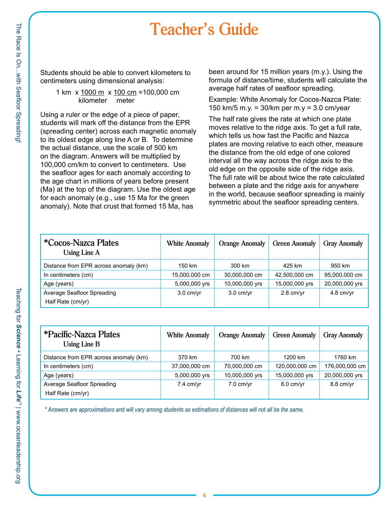# **Teacher's Guide**

Students should be able to convert kilometers to centimeters using dimensional analysis:

#### 1 km x 1000 m x 100 cm =100,000 cm kilometer meter

Using a ruler or the edge of a piece of paper, students will mark off the distance from the EPR (spreading center) across each magnetic anomaly to its oldest edge along line A or B. To determine the actual distance, use the scale of 500 km on the diagram. Answers will be multiplied by 100,000 cm/km to convert to centimeters. Use the seafloor ages for each anomaly according to the age chart in millions of years before present (Ma) at the top of the diagram. Use the oldest age for each anomaly (e.g., use 15 Ma for the green anomaly). Note that crust that formed 15 Ma, has

been around for 15 million years (m.y.). Using the formula of distance/time, students will calculate the average half rates of seafloor spreading.

Example: White Anomaly for Cocos-Nazca Plate: 150 km/5 m.y. =  $30/km$  per m.y =  $3.0 \text{ cm/year}$ 

The half rate gives the rate at which one plate moves relative to the ridge axis. To get a full rate, which tells us how fast the Pacific and Nazca plates are moving relative to each other, measure the distance from the old edge of one colored interval all the way across the ridge axis to the old edge on the opposite side of the ridge axis. The full rate will be about twice the rate calculated between a plate and the ridge axis for anywhere in the world, because seafloor spreading is mainly symmetric about the seafloor spreading centers.

| <i>*Cocos-Nazca Plates</i><br>Using Line A | <b>White Anomaly</b> | <b>Orange Anomaly</b> | <b>Green Anomaly</b> | <b>Gray Anomaly</b> |
|--------------------------------------------|----------------------|-----------------------|----------------------|---------------------|
| Distance from EPR across anomaly (km)      | 150 km               | 300 km                | 425 km               | 950 km              |
| In centimeters (cm)                        | 15,000,000 cm        | 30,000,000 cm         | 42,500,000 cm        | 95,000,000 cm       |
| Age (years)                                | 5,000,000 yrs        | 10,000,000 yrs        | 15,000,000 yrs       | 20,000,000 yrs      |
| Average Seafloor Spreading                 | $3.0 \text{ cm/yr}$  | $3.0 \text{ cm/yr}$   | $2.8$ cm/yr          | $4.8$ cm/yr         |
| Half Rate (cm/yr)                          |                      |                       |                      |                     |

| *Pacific-Nazca Plates<br>Using Line $B$ | <b>White Anomaly</b> | <b>Orange Anomaly</b> | <b>Green Anomaly</b> | <b>Gray Anomaly</b> |
|-----------------------------------------|----------------------|-----------------------|----------------------|---------------------|
| Distance from EPR across anomaly (km)   | 370 km               | 700 km                | 1200 km              | 1760 km             |
| In centimeters (cm)                     | 37,000,000 cm        | 70,000,000 cm         | 120,000,000 cm       | 176,000,000 cm      |
| Age (years)                             | 5,000,000 yrs        | 10,000,000 yrs        | 15,000,000 yrs       | 20,000,000 yrs      |
| Average Seafloor Spreading              | $7.4$ cm/yr          | $7.0$ cm/yr           | $8.0 \text{ cm/yr}$  | $8.8$ cm/vr         |
| Half Rate (cm/yr)                       |                      |                       |                      |                     |

*\* Answers are approximations and will vary among students as estimations of distances will not all be the same.*